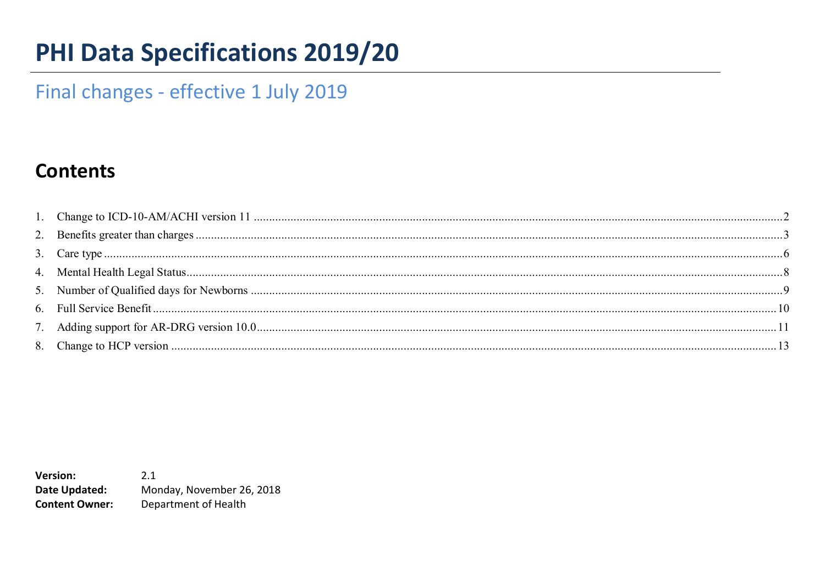# **PHI Data Specifications 2019/20**

# Final changes - effective 1 July 2019

### **Contents**

 $2.1$ **Version:** Date Updated: Monday, November 26, 2018 **Content Owner:** Department of Health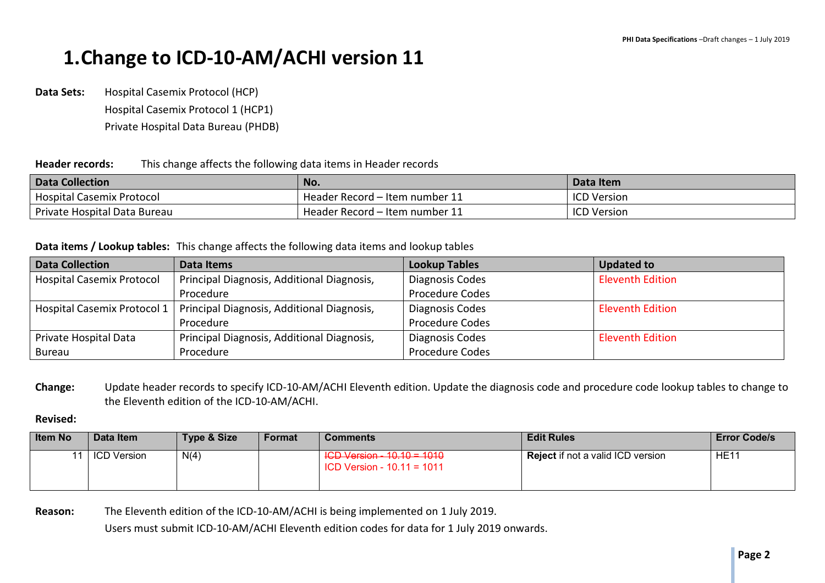# **1.Change to ICD-10-AM/ACHI version 11**

**Data Sets:** Hospital Casemix Protocol (HCP) Hospital Casemix Protocol 1 (HCP1) Private Hospital Data Bureau (PHDB)

#### **Header records:** This change affects the following data items in Header records

| <b>Data Collection</b>           | No.                            | Data Item          |
|----------------------------------|--------------------------------|--------------------|
| <b>Hospital Casemix Protocol</b> | Header Record – Item number 11 | <b>ICD Version</b> |
| Private Hospital Data Bureau     | Header Record – Item number 11 | <b>ICD Version</b> |

#### **Data items / Lookup tables:** This change affects the following data items and lookup tables

| <b>Data Collection</b>           | Data Items                                 | <b>Lookup Tables</b>   | <b>Updated to</b>       |
|----------------------------------|--------------------------------------------|------------------------|-------------------------|
| <b>Hospital Casemix Protocol</b> | Principal Diagnosis, Additional Diagnosis, | Diagnosis Codes        | <b>Eleventh Edition</b> |
|                                  | Procedure                                  | <b>Procedure Codes</b> |                         |
| Hospital Casemix Protocol 1      | Principal Diagnosis, Additional Diagnosis, | Diagnosis Codes        | <b>Eleventh Edition</b> |
|                                  | Procedure                                  | <b>Procedure Codes</b> |                         |
| Private Hospital Data            | Principal Diagnosis, Additional Diagnosis, | Diagnosis Codes        | <b>Eleventh Edition</b> |
| Bureau                           | Procedure                                  | <b>Procedure Codes</b> |                         |

**Change:** Update header records to specify ICD-10-AM/ACHI Eleventh edition. Update the diagnosis code and procedure code lookup tables to change to the Eleventh edition of the ICD-10-AM/ACHI.

#### **Revised:**

| <b>Item No</b> | Data Item   | Type & Size | Format | <b>Comments</b>                                            | <b>Edit Rules</b>                        | <b>Error Code/s</b> |
|----------------|-------------|-------------|--------|------------------------------------------------------------|------------------------------------------|---------------------|
|                | ICD Version | N(4)        |        | ICD Version - 10.10 = 1010<br>$ICD Version - 10.11 = 1011$ | <b>Reject</b> if not a valid ICD version | HE <sub>11</sub>    |

**Reason:** The Eleventh edition of the ICD-10-AM/ACHI is being implemented on 1 July 2019.

Users must submit ICD-10-AM/ACHI Eleventh edition codes for data for 1 July 2019 onwards.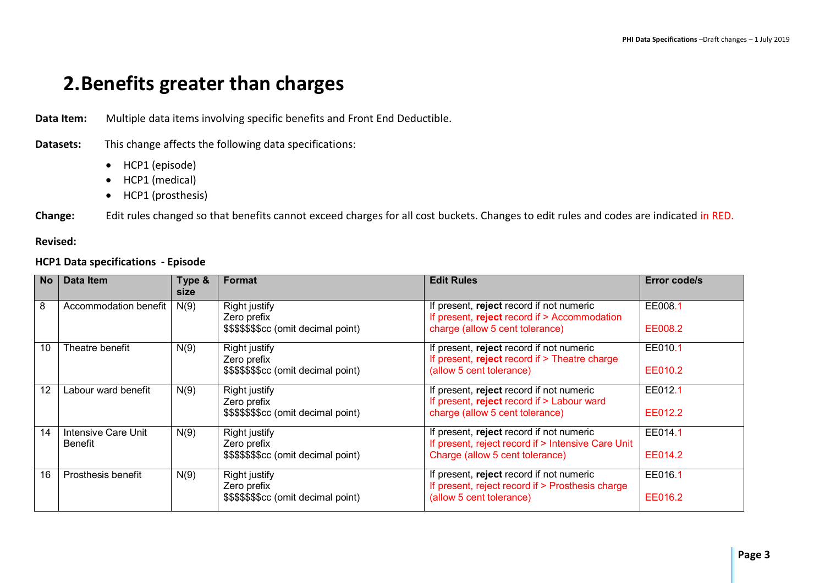## **2.Benefits greater than charges**

**Data Item:** Multiple data items involving specific benefits and Front End Deductible.

### **Datasets:** This change affects the following data specifications:

- HCP1 (episode)
- HCP1 (medical)
- HCP1 (prosthesis)

**Change:** Edit rules changed so that benefits cannot exceed charges for all cost buckets. Changes to edit rules and codes are indicated in RED.

#### **Revised:**

#### **HCP1 Data specifications - Episode**

| <b>No</b> | Data Item                      | Type &<br>size | <b>Format</b>                           | <b>Edit Rules</b>                                                                              | Error code/s |
|-----------|--------------------------------|----------------|-----------------------------------------|------------------------------------------------------------------------------------------------|--------------|
| 8         | Accommodation benefit          | N(9)           | <b>Right justify</b><br>Zero prefix     | If present, reject record if not numeric<br>If present, reject record if > Accommodation       | EE008.1      |
|           |                                |                | \$\$\$\$\$\$\$\$cc (omit decimal point) | charge (allow 5 cent tolerance)                                                                | EE008.2      |
| 10        | Theatre benefit                | N(9)           | <b>Right justify</b><br>Zero prefix     | If present, reject record if not numeric<br>If present, reject record if $>$ Theatre charge    | EE010.1      |
|           |                                |                | \$\$\$\$\$\$\$\$ (omit decimal point)   | (allow 5 cent tolerance)                                                                       | EE010.2      |
| 12        | Labour ward benefit            | N(9)           | <b>Right justify</b><br>Zero prefix     | If present, reject record if not numeric<br>If present, reject record if > Labour ward         | EE012.1      |
|           |                                |                | \$\$\$\$\$\$\$\$cc (omit decimal point) | charge (allow 5 cent tolerance)                                                                | EE012.2      |
| 14        | Intensive Care Unit<br>Benefit | N(9)           | <b>Right justify</b><br>Zero prefix     | If present, reject record if not numeric<br>If present, reject record if > Intensive Care Unit | EE014.1      |
|           |                                |                | \$\$\$\$\$\$\$\$ (omit decimal point)   | Charge (allow 5 cent tolerance)                                                                | EE014.2      |
| 16        | Prosthesis benefit             | N(9)           | <b>Right justify</b><br>Zero prefix     | If present, reject record if not numeric<br>If present, reject record if > Prosthesis charge   | EE016.1      |
|           |                                |                | \$\$\$\$\$\$\$\$cc (omit decimal point) | (allow 5 cent tolerance)                                                                       | EE016.2      |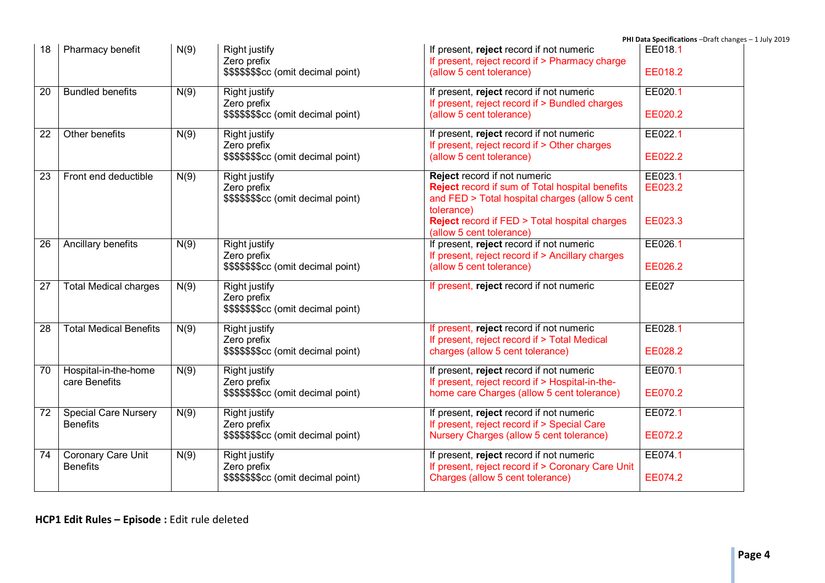|                 |                               |      |                                         |                                                                                     | PHI Data Specifications -Draft changes - 1 July 2019 |
|-----------------|-------------------------------|------|-----------------------------------------|-------------------------------------------------------------------------------------|------------------------------------------------------|
| 18              | Pharmacy benefit              | N(9) | Right justify                           | If present, reject record if not numeric                                            | EE018.1                                              |
|                 |                               |      | Zero prefix                             | If present, reject record if > Pharmacy charge                                      |                                                      |
|                 |                               |      | \$\$\$\$\$\$\$cc (omit decimal point)   | (allow 5 cent tolerance)                                                            | EE018.2                                              |
| $\overline{20}$ | <b>Bundled benefits</b>       | N(9) | Right justify                           | If present, reject record if not numeric                                            | EE020.1                                              |
|                 |                               |      | Zero prefix                             | If present, reject record if > Bundled charges                                      |                                                      |
|                 |                               |      | \$\$\$\$\$\$\$cc (omit decimal point)   | (allow 5 cent tolerance)                                                            | EE020.2                                              |
| $\overline{22}$ | Other benefits                | N(9) | <b>Right justify</b>                    | If present, reject record if not numeric                                            | EE022.1                                              |
|                 |                               |      | Zero prefix                             | If present, reject record if > Other charges                                        |                                                      |
|                 |                               |      | \$\$\$\$\$\$\$\$cc (omit decimal point) | (allow 5 cent tolerance)                                                            | EE022.2                                              |
| $\overline{23}$ | Front end deductible          | N(9) | <b>Right justify</b>                    | Reject record if not numeric                                                        | EE023.1                                              |
|                 |                               |      | Zero prefix                             | Reject record if sum of Total hospital benefits                                     | EE023.2                                              |
|                 |                               |      | \$\$\$\$\$\$\$cc (omit decimal point)   | and FED > Total hospital charges (allow 5 cent                                      |                                                      |
|                 |                               |      |                                         | tolerance)                                                                          |                                                      |
|                 |                               |      |                                         | <b>Reject record if FED &gt; Total hospital charges</b><br>(allow 5 cent tolerance) | EE023.3                                              |
| $\overline{26}$ | Ancillary benefits            | N(9) | <b>Right justify</b>                    | If present, reject record if not numeric                                            | EE026.1                                              |
|                 |                               |      | Zero prefix                             | If present, reject record if > Ancillary charges                                    |                                                      |
|                 |                               |      | \$\$\$\$\$\$\$\$cc (omit decimal point) | (allow 5 cent tolerance)                                                            | EE026.2                                              |
| $\overline{27}$ | <b>Total Medical charges</b>  | N(9) | <b>Right justify</b>                    | If present, reject record if not numeric                                            | <b>EE027</b>                                         |
|                 |                               |      | Zero prefix                             |                                                                                     |                                                      |
|                 |                               |      | \$\$\$\$\$\$\$cc (omit decimal point)   |                                                                                     |                                                      |
| $\overline{28}$ | <b>Total Medical Benefits</b> | N(9) | <b>Right justify</b>                    | If present, reject record if not numeric                                            | EE028.1                                              |
|                 |                               |      | Zero prefix                             | If present, reject record if > Total Medical                                        |                                                      |
|                 |                               |      | \$\$\$\$\$\$\$cc (omit decimal point)   | charges (allow 5 cent tolerance)                                                    | EE028.2                                              |
| 70              | Hospital-in-the-home          | N(9) | <b>Right justify</b>                    | If present, reject record if not numeric                                            | EE070.1                                              |
|                 | care Benefits                 |      | Zero prefix                             | If present, reject record if > Hospital-in-the-                                     |                                                      |
|                 |                               |      | \$\$\$\$\$\$\$cc (omit decimal point)   | home care Charges (allow 5 cent tolerance)                                          | EE070.2                                              |
| 72              | <b>Special Care Nursery</b>   | N(9) | <b>Right justify</b>                    | If present, reject record if not numeric                                            | EE072.1                                              |
|                 | <b>Benefits</b>               |      | Zero prefix                             | If present, reject record if > Special Care                                         |                                                      |
|                 |                               |      | \$\$\$\$\$\$\$cc (omit decimal point)   | Nursery Charges (allow 5 cent tolerance)                                            | EE072.2                                              |
| 74              | Coronary Care Unit            | N(9) | <b>Right justify</b>                    | If present, reject record if not numeric                                            | EE074.1                                              |
|                 | <b>Benefits</b>               |      | Zero prefix                             | If present, reject record if > Coronary Care Unit                                   |                                                      |
|                 |                               |      | \$\$\$\$\$\$\$cc (omit decimal point)   | Charges (allow 5 cent tolerance)                                                    | EE074.2                                              |
|                 |                               |      |                                         |                                                                                     |                                                      |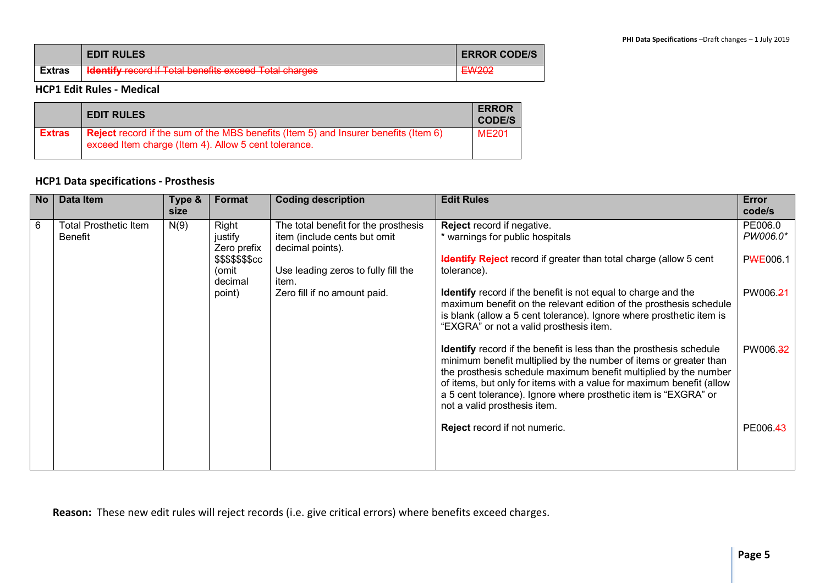|               | <b>EDIT RULES</b>                                             | <b>ERROR CODE/S</b>         |
|---------------|---------------------------------------------------------------|-----------------------------|
| <b>Extras</b> | <b>Identify record if Total benefits exceed Total charges</b> | EM/202<br>E <del>wzuz</del> |

#### **HCP1 Edit Rules - Medical**

|               | <b>EDIT RULES</b>                                                                                                                                  | <b>ERROR</b><br><b>CODE/S</b> |
|---------------|----------------------------------------------------------------------------------------------------------------------------------------------------|-------------------------------|
| <b>Extras</b> | <b>Reject</b> record if the sum of the MBS benefits (Item 5) and Insurer benefits (Item 6)<br>exceed Item charge (Item 4). Allow 5 cent tolerance. | <b>ME201</b>                  |

#### **HCP1 Data specifications - Prosthesis**

| <b>No</b> | <b>Data Item</b>                               | Type &<br>size | Format                                                                            | <b>Coding description</b>                                                                                                                                                | <b>Edit Rules</b>                                                                                                                                                                                                                                                                                                                                                                                                         | Error<br>code/s                             |
|-----------|------------------------------------------------|----------------|-----------------------------------------------------------------------------------|--------------------------------------------------------------------------------------------------------------------------------------------------------------------------|---------------------------------------------------------------------------------------------------------------------------------------------------------------------------------------------------------------------------------------------------------------------------------------------------------------------------------------------------------------------------------------------------------------------------|---------------------------------------------|
| 6         | <b>Total Prosthetic Item</b><br><b>Benefit</b> | N(9)           | Right<br>justify<br>Zero prefix<br>\$\$\$\$\$\$\$cc<br>(omit<br>decimal<br>point) | The total benefit for the prosthesis<br>item (include cents but omit<br>decimal points).<br>Use leading zeros to fully fill the<br>item.<br>Zero fill if no amount paid. | Reject record if negative.<br>* warnings for public hospitals<br><b>Identify Reject</b> record if greater than total charge (allow 5 cent<br>tolerance).<br><b>Identify</b> record if the benefit is not equal to charge and the<br>maximum benefit on the relevant edition of the prosthesis schedule<br>is blank (allow a 5 cent tolerance). Ignore where prosthetic item is<br>"EXGRA" or not a valid prosthesis item. | PE006.0<br>PW006.0*<br>PWE006.1<br>PW006.21 |
|           |                                                |                |                                                                                   |                                                                                                                                                                          | <b>Identify</b> record if the benefit is less than the prosthesis schedule<br>minimum benefit multiplied by the number of items or greater than<br>the prosthesis schedule maximum benefit multiplied by the number<br>of items, but only for items with a value for maximum benefit (allow<br>a 5 cent tolerance). Ignore where prosthetic item is "EXGRA" or<br>not a valid prosthesis item.                            | PW006.32                                    |
|           |                                                |                |                                                                                   |                                                                                                                                                                          | Reject record if not numeric.                                                                                                                                                                                                                                                                                                                                                                                             | PE006.43                                    |

**Reason:** These new edit rules will reject records (i.e. give critical errors) where benefits exceed charges.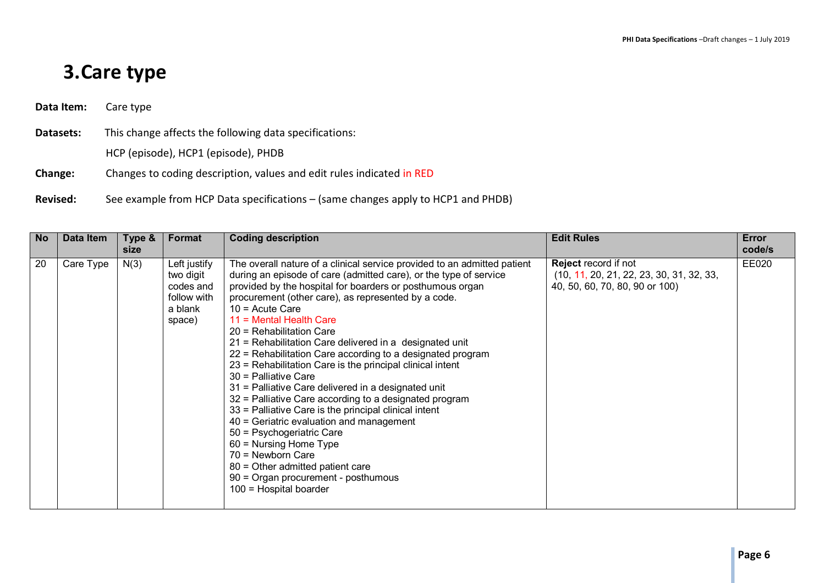# **3.Care type**

**Data Item:** Care type

**Datasets:** This change affects the following data specifications:

HCP (episode), HCP1 (episode), PHDB

- **Change:** Changes to coding description, values and edit rules indicated in RED
- **Revised:** See example from HCP Data specifications (same changes apply to HCP1 and PHDB)

| No | Data Item | Type &<br>size | Format                                                                     | <b>Coding description</b>                                                                                                                                                                                                                                                                                                                                                                                                                                                                                                                                                                                                                                                                                                                                                                                                                                                                                                                                                | <b>Edit Rules</b>                                                                                           | Error<br>code/s |
|----|-----------|----------------|----------------------------------------------------------------------------|--------------------------------------------------------------------------------------------------------------------------------------------------------------------------------------------------------------------------------------------------------------------------------------------------------------------------------------------------------------------------------------------------------------------------------------------------------------------------------------------------------------------------------------------------------------------------------------------------------------------------------------------------------------------------------------------------------------------------------------------------------------------------------------------------------------------------------------------------------------------------------------------------------------------------------------------------------------------------|-------------------------------------------------------------------------------------------------------------|-----------------|
| 20 | Care Type | N(3)           | Left justify<br>two digit<br>codes and<br>follow with<br>a blank<br>space) | The overall nature of a clinical service provided to an admitted patient<br>during an episode of care (admitted care), or the type of service<br>provided by the hospital for boarders or posthumous organ<br>procurement (other care), as represented by a code.<br>$10 =$ Acute Care<br>11 = Mental Health Care<br>20 = Rehabilitation Care<br>21 = Rehabilitation Care delivered in a designated unit<br>22 = Rehabilitation Care according to a designated program<br>23 = Rehabilitation Care is the principal clinical intent<br>$30$ = Palliative Care<br>31 = Palliative Care delivered in a designated unit<br>32 = Palliative Care according to a designated program<br>33 = Palliative Care is the principal clinical intent<br>40 = Geriatric evaluation and management<br>50 = Psychogeriatric Care<br>$60$ = Nursing Home Type<br>70 = Newborn Care<br>80 = Other admitted patient care<br>90 = Organ procurement - posthumous<br>$100$ = Hospital boarder | <b>Reject</b> record if not<br>$(10, 11, 20, 21, 22, 23, 30, 31, 32, 33,$<br>40, 50, 60, 70, 80, 90 or 100) | EE020           |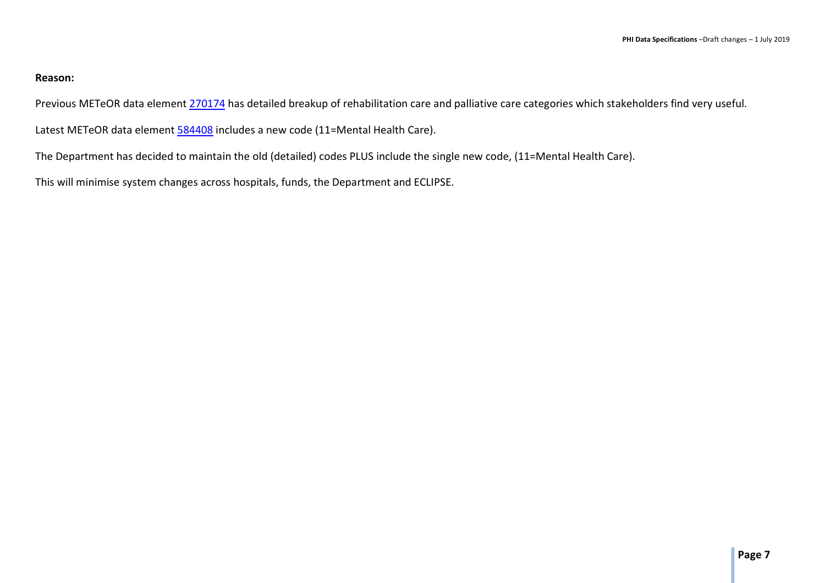#### **Reason:**

Previous METeOR data element 270174 has detailed breakup of rehabilitation care and palliative care categories which stakeholders find very useful.

Latest METeOR data element 584408 includes a new code (11=Mental Health Care).

The Department has decided to maintain the old (detailed) codes PLUS include the single new code, (11=Mental Health Care).

This will minimise system changes across hospitals, funds, the Department and ECLIPSE.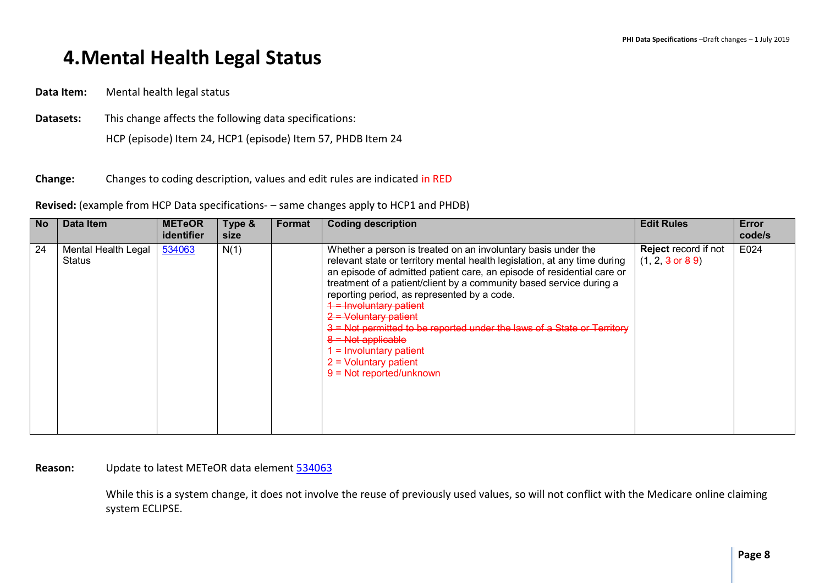# **4.Mental Health Legal Status**

**Data Item:** Mental health legal status

**Datasets:** This change affects the following data specifications:

HCP (episode) Item 24, HCP1 (episode) Item 57, PHDB Item 24

**Change:** Changes to coding description, values and edit rules are indicated in RED

**Revised:** (example from HCP Data specifications- – same changes apply to HCP1 and PHDB)

| <b>No</b> | Data Item                     | <b>METeOR</b><br>identifier | Type &<br>size | Format | <b>Coding description</b>                                                                                                                                                                                                                                                                                                                                                                                                                                                                                                                                                                   | <b>Edit Rules</b>                                                   | Error<br>code/s |
|-----------|-------------------------------|-----------------------------|----------------|--------|---------------------------------------------------------------------------------------------------------------------------------------------------------------------------------------------------------------------------------------------------------------------------------------------------------------------------------------------------------------------------------------------------------------------------------------------------------------------------------------------------------------------------------------------------------------------------------------------|---------------------------------------------------------------------|-----------------|
| 24        | Mental Health Legal<br>Status | 534063                      | N(1)           |        | Whether a person is treated on an involuntary basis under the<br>relevant state or territory mental health legislation, at any time during<br>an episode of admitted patient care, an episode of residential care or<br>treatment of a patient/client by a community based service during a<br>reporting period, as represented by a code.<br>$4$ = Involuntary patient<br>$2$ = Voluntary patient<br>3 = Not permitted to be reported under the laws of a State or Territory<br>$8 = Not applicable$<br>$I = Involuntary patient$<br>$2 =$ Voluntary patient<br>$9 = Not reported/unknown$ | <b>Reject</b> record if not<br>$(1, 2, 3 \text{ or } 8 \text{ } 9)$ | E024            |

#### **Reason:** Update to latest METeOR data element 534063

While this is a system change, it does not involve the reuse of previously used values, so will not conflict with the Medicare online claiming system ECLIPSE.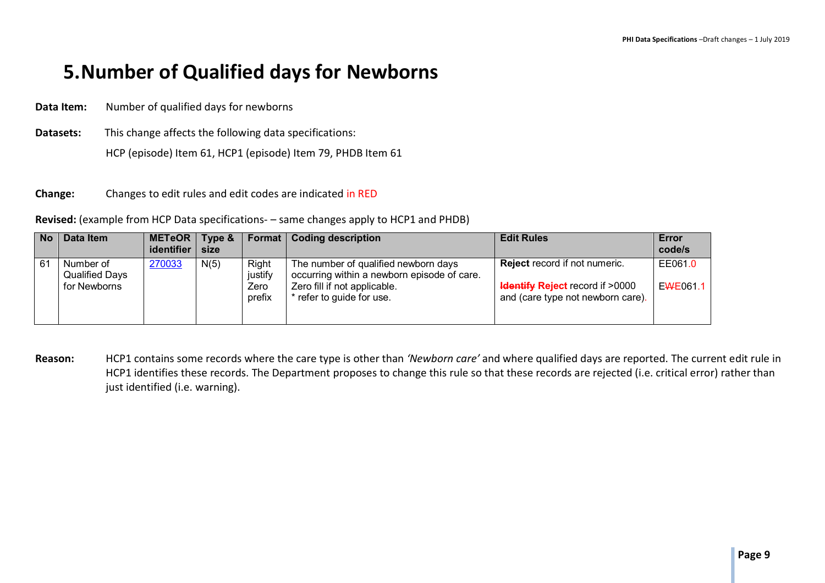# **5.Number of Qualified days for Newborns**

**Data Item:** Number of qualified days for newborns

**Datasets:** This change affects the following data specifications: HCP (episode) Item 61, HCP1 (episode) Item 79, PHDB Item 61

**Change:** Changes to edit rules and edit codes are indicated in RED

**Revised:** (example from HCP Data specifications- – same changes apply to HCP1 and PHDB)

| N <sub>o</sub> | Data Item                                          | <b>METeOR</b><br>identifier | Type &<br>size |                                    | <b>Format   Coding description</b>                                                                                                               | <b>Edit Rules</b>                                                                                                  | Error<br>code/s     |
|----------------|----------------------------------------------------|-----------------------------|----------------|------------------------------------|--------------------------------------------------------------------------------------------------------------------------------------------------|--------------------------------------------------------------------------------------------------------------------|---------------------|
| 61             | Number of<br><b>Qualified Days</b><br>for Newborns | 270033                      | N(5)           | Right<br>justify<br>Zero<br>prefix | The number of qualified newborn days<br>occurring within a newborn episode of care.<br>Zero fill if not applicable.<br>* refer to guide for use. | <b>Reject</b> record if not numeric.<br><b>Hentify Reject</b> record if >0000<br>and (care type not newborn care). | EE061.0<br>EWE061.1 |

**Reason:** HCP1 contains some records where the care type is other than *'Newborn care'* and where qualified days are reported. The current edit rule in HCP1 identifies these records. The Department proposes to change this rule so that these records are rejected (i.e. critical error) rather than just identified (i.e. warning).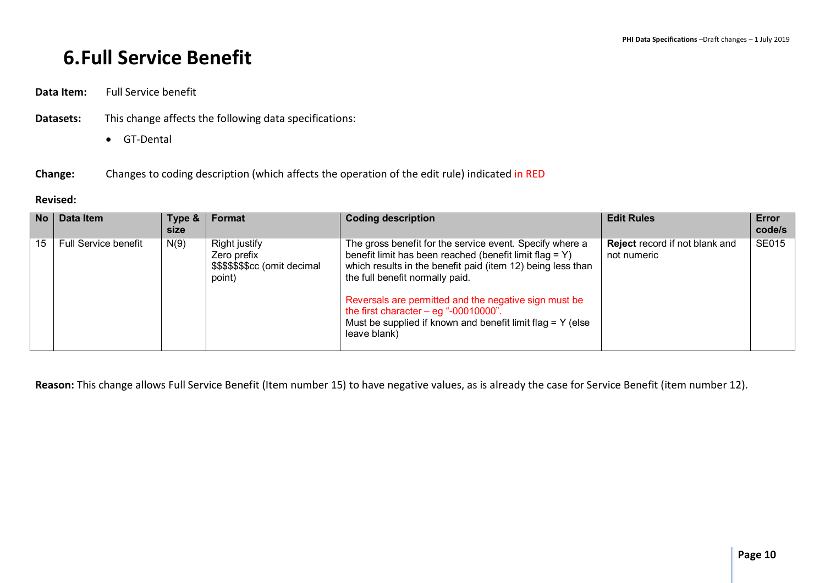# **6.Full Service Benefit**

**Data Item:** Full Service benefit

- **Datasets:** This change affects the following data specifications:
	- GT-Dental

### **Change:** Changes to coding description (which affects the operation of the edit rule) indicated in RED

#### **Revised:**

| <b>No</b> | Data Item            | Type &<br><b>size</b> | Format                                                                   | <b>Coding description</b>                                                                                                                                                                                                                                                                                                                                                                               | <b>Edit Rules</b>                                    | Error<br>code/s |
|-----------|----------------------|-----------------------|--------------------------------------------------------------------------|---------------------------------------------------------------------------------------------------------------------------------------------------------------------------------------------------------------------------------------------------------------------------------------------------------------------------------------------------------------------------------------------------------|------------------------------------------------------|-----------------|
| 15        | Full Service benefit | N(9)                  | Right justify<br>Zero prefix<br>\$\$\$\$\$\$\$cc (omit decimal<br>point) | The gross benefit for the service event. Specify where a<br>benefit limit has been reached (benefit limit flag = Y)<br>which results in the benefit paid (item 12) being less than<br>the full benefit normally paid.<br>Reversals are permitted and the negative sign must be<br>the first character $-$ eg "-00010000".<br>Must be supplied if known and benefit limit flag = Y (else<br>leave blank) | <b>Reject</b> record if not blank and<br>not numeric | <b>SE015</b>    |

**Reason:** This change allows Full Service Benefit (Item number 15) to have negative values, as is already the case for Service Benefit (item number 12).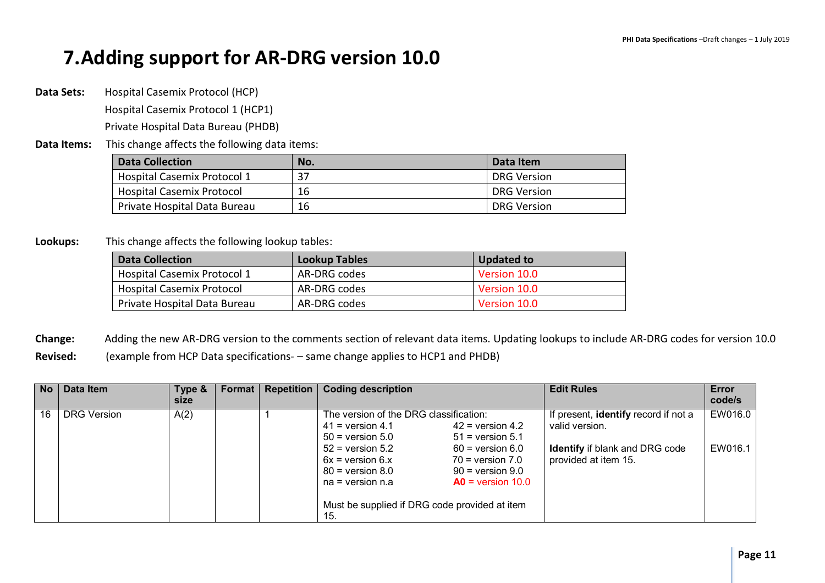# **7.Adding support for AR-DRG version 10.0**

**Data Sets:** Hospital Casemix Protocol (HCP)

Hospital Casemix Protocol 1 (HCP1)

Private Hospital Data Bureau (PHDB)

**Data Items:** This change affects the following data items:

| <b>Data Collection</b>             | No. | Data Item          |
|------------------------------------|-----|--------------------|
| <b>Hospital Casemix Protocol 1</b> |     | <b>DRG Version</b> |
| <b>Hospital Casemix Protocol</b>   | 16  | <b>DRG Version</b> |
| Private Hospital Data Bureau       | 16  | <b>DRG Version</b> |

**Lookups:** This change affects the following lookup tables:

| <b>Data Collection</b>             | <b>Lookup Tables</b> | <b>Updated to</b> |
|------------------------------------|----------------------|-------------------|
| <b>Hospital Casemix Protocol 1</b> | AR-DRG codes         | Version 10.0      |
| <b>Hospital Casemix Protocol</b>   | AR-DRG codes         | Version 10.0      |
| Private Hospital Data Bureau       | AR-DRG codes         | Version 10.0      |

**Change:** Adding the new AR-DRG version to the comments section of relevant data items. Updating lookups to include AR-DRG codes for version 10.0 **Revised:** (example from HCP Data specifications- – same change applies to HCP1 and PHDB)

| <b>No</b> | Data Item          | Type &<br>size | <b>Format</b> I | <b>Repetition</b> | <b>Coding description</b>                                                                                                                                                                                                                                                                                                                                                           | <b>Edit Rules</b>                                                                                                       | Error<br>code/s    |
|-----------|--------------------|----------------|-----------------|-------------------|-------------------------------------------------------------------------------------------------------------------------------------------------------------------------------------------------------------------------------------------------------------------------------------------------------------------------------------------------------------------------------------|-------------------------------------------------------------------------------------------------------------------------|--------------------|
| 16        | <b>DRG Version</b> | A(2)           |                 |                   | The version of the DRG classification:<br>$42$ = version 4.2<br>$41 =$ version 4.1<br>$50 =$ version $5.0$<br>$51$ = version 5.1<br>$52$ = version $5.2$<br>$60 =$ version $6.0$<br>$6x = version 6.x$<br>$70 =$ version $7.0$<br>$80 =$ version $8.0$<br>$90 =$ version $9.0$<br>$AO = version 10.0$<br>$na = version n.a$<br>Must be supplied if DRG code provided at item<br>15. | If present, identify record if not a<br>valid version.<br><b>Identify</b> if blank and DRG code<br>provided at item 15. | EW016.0<br>EW016.1 |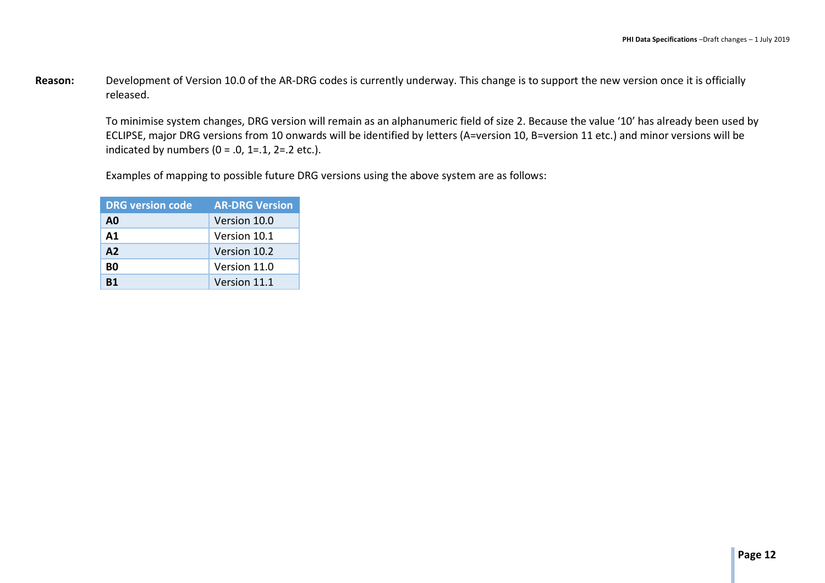Reason: Development of Version 10.0 of the AR-DRG codes is currently underway. This change is to support the new version once it is officially released.

To minimise system changes, DRG version will remain as an alphanumeric field of size 2. Because the value '10' has already been used by ECLIPSE, major DRG versions from 10 onwards will be identified by letters (A=version 10, B=version 11 etc.) and minor versions will be indicated by numbers ( $0 = .0$ , 1=.1, 2=.2 etc.).

Examples of mapping to possible future DRG versions using the above system are as follows:

| <b>DRG</b> version code | <b>AR-DRG Version</b> |
|-------------------------|-----------------------|
| A0                      | Version 10.0          |
| $\mathbf{A1}$           | Version 10.1          |
| A2                      | Version 10.2          |
| B0                      | Version 11.0          |
| R1                      | Version 11.1          |